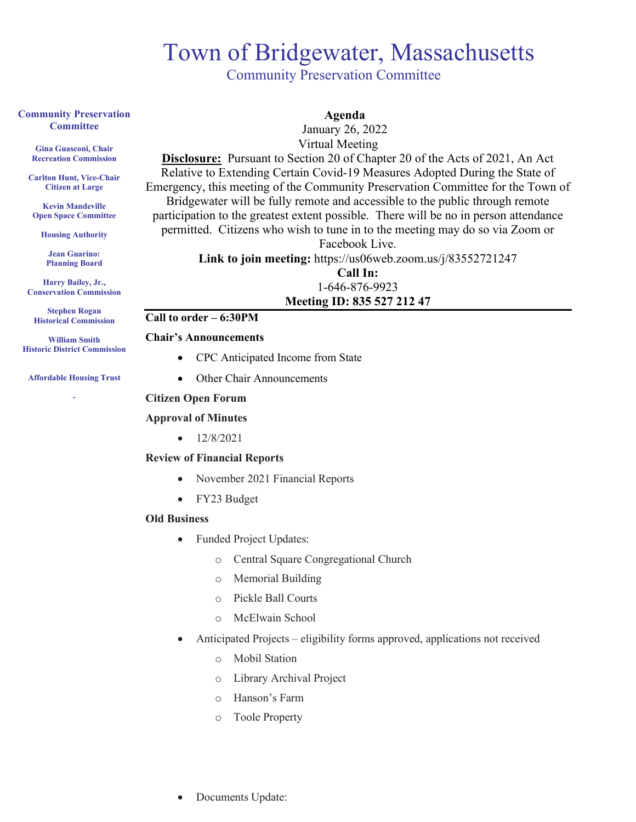## Town of Bridgewater, Massachusetts<br>
Community Preservation Committee

#### **Community Preservation Committee**

**Gina Guasconi, Chair Recreation Commission**

**Carlton Hunt, Vice-Chair Citizen at Large**

**Kevin Mandeville Open Space Committee**

**Housing Authority**

**Jean Guarino: Planning Board**

**Harry Bailey, Jr., Conservation Commission** 

**Stephen Rogan Historical Commission**

**William Smith Historic District Commission**

## **Affordable Housing Trust -**

 January 26, 2022 Virtual Meeting **Disclosure:** Pursuant to Section 20 of Chapter 20 of the Acts of 2021, An Act Relative to Extending Certain Covid-19 Measures Adopted During the State of Emergency, this meeting of the Community Preservation Committee for the Town of Bridgewater will be fully remote and accessible to the public through remote

 **Agenda**

participation to the greatest extent possible. There will be no in person attendance permitted. Citizens who wish to tune in to the meeting may do so via Zoom or Facebook Live.

**Link to join meeting:** https://us06web.zoom.us/j/83552721247

## **Call In:** 1-646-876-9923 **Meeting ID: 835 527 212 47**

## **Call to order – 6:30PM**

#### **Chair's Announcements**

- CPC Anticipated Income from State
- Other Chair Announcements

#### **Citizen Open Forum**

#### **Approval of Minutes**

 $\bullet$  12/8/2021

#### **Review of Financial Reports**

- November 2021 Financial Reports
- FY23 Budget

#### **Old Business**

- Funded Project Updates:
	- o Central Square Congregational Church
	- o Memorial Building
	- o Pickle Ball Courts
	- o McElwain School
- Anticipated Projects eligibility forms approved, applications not received
	- o Mobil Station
	- o Library Archival Project
	- o Hanson's Farm
	- o Toole Property
- Documents Update: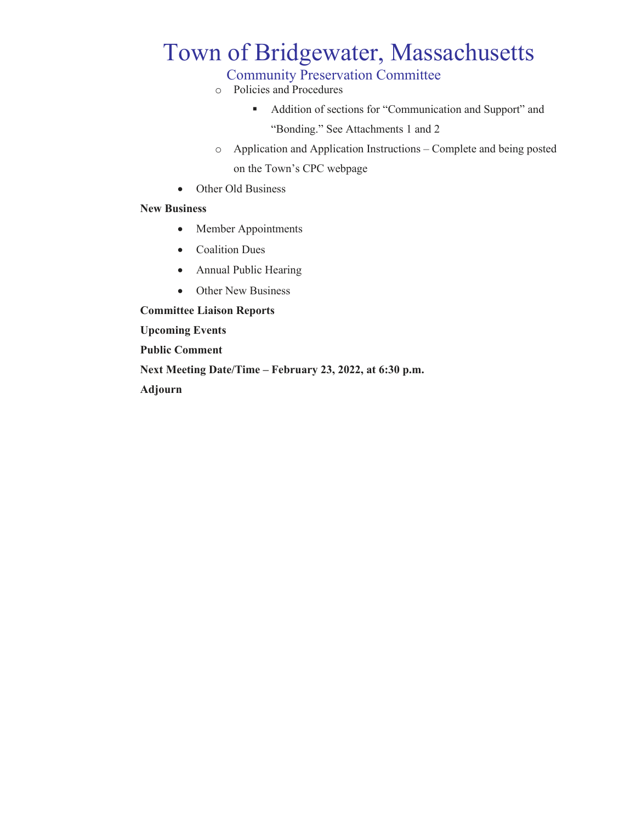# Town of Bridgewater, Massachusetts<br>
Community Preservation Committee

- o Policies and Procedures
	- Addition of sections for "Communication and Support" and "Bonding." See Attachments 1 and 2
- o Application and Application Instructions Complete and being posted on the Town's CPC webpage
- Other Old Business

#### **New Business**

- Member Appointments
- Coalition Dues
- Annual Public Hearing
- Other New Business

**Committee Liaison Reports**

**Upcoming Events**

**Public Comment**

**Next Meeting Date/Time – February 23, 2022, at 6:30 p.m.**

**Adjourn**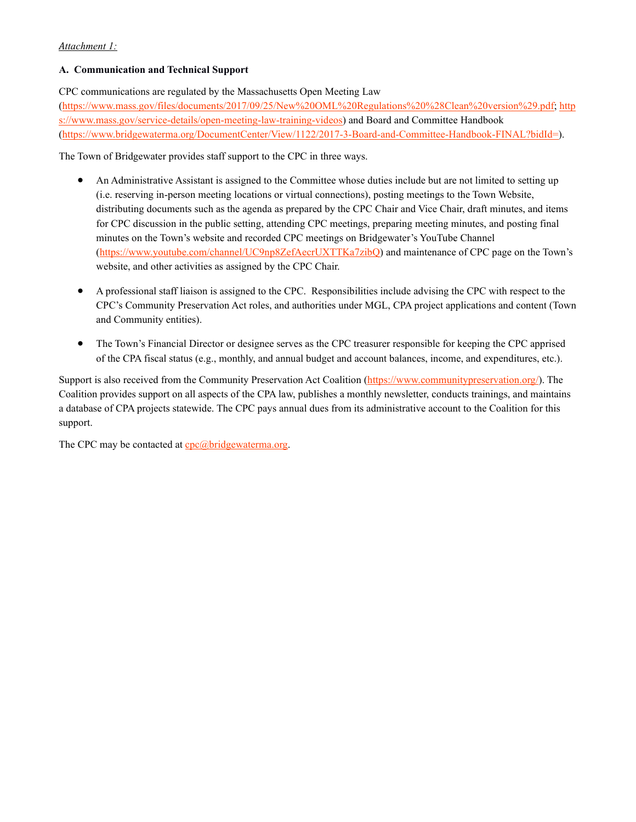#### *Attachment 1:*

#### **A. Communication and Technical Support**

CPC communications are regulated by the Massachusetts Open Meeting Law

[\(https://www.mass.gov/files/documents/2017/09/25/New%20OML%20Regulations%20%28Clean%20version%29.pdf;](https://www.mass.gov/files/documents/2017/09/25/New%20OML%20Regulations%20(Clean%20version).pdf) [http](https://www.mass.gov/service-details/open-meeting-law-training-videos) [s://www.mass.gov/service-details/open-meeting-law-training-videos\)](https://www.mass.gov/service-details/open-meeting-law-training-videos) and Board and Committee Handbook [\(https://www.bridgewaterma.org/DocumentCenter/View/1122/2017-3-Board-and-Committee-Handbook-FINAL?bidId=\)](https://www.bridgewaterma.org/DocumentCenter/View/1122/2017-3-Board-and-Committee-Handbook-FINAL?bidId=).

The Town of Bridgewater provides staff support to the CPC in three ways.

- An Administrative Assistant is assigned to the Committee whose duties include but are not limited to setting up (i.e. reserving in-person meeting locations or virtual connections), posting meetings to the Town Website, distributing documents such as the agenda as prepared by the CPC Chair and Vice Chair, draft minutes, and items for CPC discussion in the public setting, attending CPC meetings, preparing meeting minutes, and posting final minutes on the Town's website and recorded CPC meetings on Bridgewater's YouTube Channel [\(https://www.youtube.com/channel/UC9np8ZefAecrUXTTKa7zibQ\)](https://www.youtube.com/channel/UC9np8ZefAecrUXTTKa7zibQ) and maintenance of CPC page on the Town's website, and other activities as assigned by the CPC Chair.
- A professional staff liaison is assigned to the CPC. Responsibilities include advising the CPC with respect to the CPC's Community Preservation Act roles, and authorities under MGL, CPA project applications and content (Town and Community entities).
- The Town's Financial Director or designee serves as the CPC treasurer responsible for keeping the CPC apprised of the CPA fiscal status (e.g., monthly, and annual budget and account balances, income, and expenditures, etc.).

Support is also received from the Community Preservation Act Coalition [\(https://www.communitypreservation.org/\)](https://www.communitypreservation.org/). The Coalition provides support on all aspects of the CPA law, publishes a monthly newsletter, conducts trainings, and maintains a database of CPA projects statewide. The CPC pays annual dues from its administrative account to the Coalition for this support.

The CPC may be contacted at  $cpc@bridgewaterma.org$ .</u>